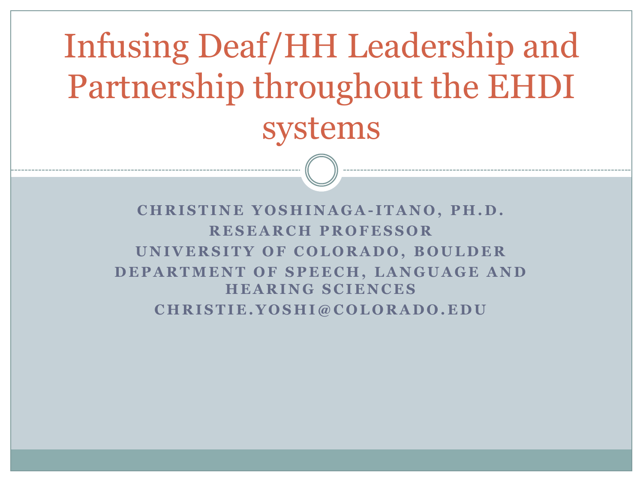Infusing Deaf/HH Leadership and Partnership throughout the EHDI systems

**C H R I S T I N E Y O S H I N A G A - I T A N O , P H . D . R E S E A R C H P R O F E S S O R UNIVERSITY OF COLORADO, BOULDER DEPARTMENT OF SPEECH, LANGUAGE AND H E A R I N G S C I E N C E S**  $CHRISTIE.YOSHI@COLORADO. EDU$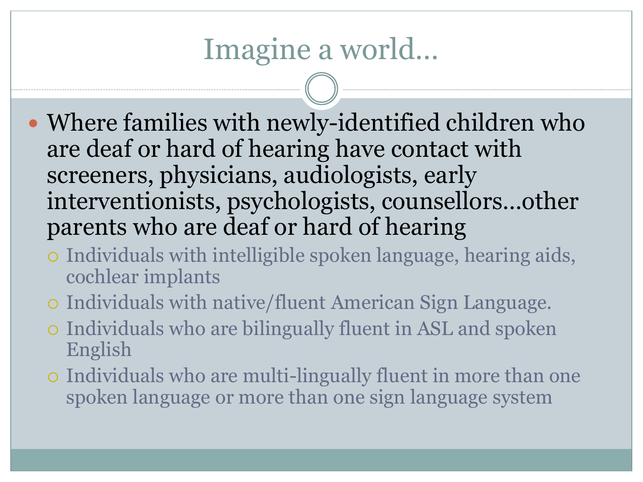### Imagine a world…

- Where families with newly-identified children who are deaf or hard of hearing have contact with screeners, physicians, audiologists, early interventionists, psychologists, counsellors…other parents who are deaf or hard of hearing
	- Individuals with intelligible spoken language, hearing aids, cochlear implants
	- Individuals with native/fluent American Sign Language.
	- Individuals who are bilingually fluent in ASL and spoken English
	- Individuals who are multi-lingually fluent in more than one spoken language or more than one sign language system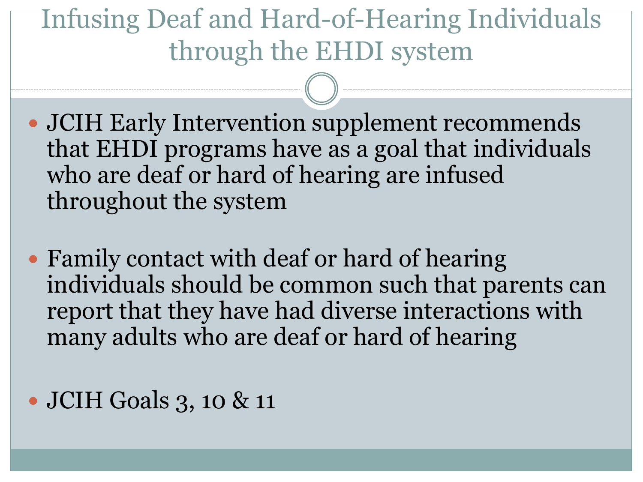### Infusing Deaf and Hard-of-Hearing Individuals through the EHDI system

- JCIH Early Intervention supplement recommends that EHDI programs have as a goal that individuals who are deaf or hard of hearing are infused throughout the system
- Family contact with deaf or hard of hearing individuals should be common such that parents can report that they have had diverse interactions with many adults who are deaf or hard of hearing
- JCIH Goals 3, 10 & 11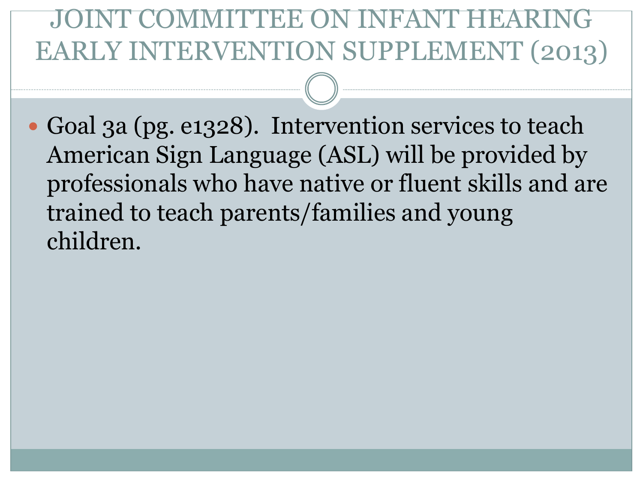### IMITTEE ON IN EARLY INTERVENTION SUPPLEMENT (2013)

• Goal 3a (pg. e1328). Intervention services to teach American Sign Language (ASL) will be provided by professionals who have native or fluent skills and are trained to teach parents/families and young children.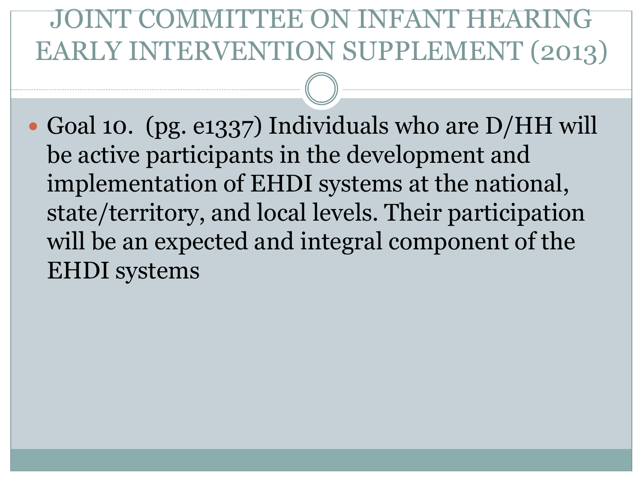### DMMITTEE ON IN EARLY INTERVENTION SUPPLEMENT (2013)

 Goal 10. (pg. e1337) Individuals who are D/HH will be active participants in the development and implementation of EHDI systems at the national, state/territory, and local levels. Their participation will be an expected and integral component of the EHDI systems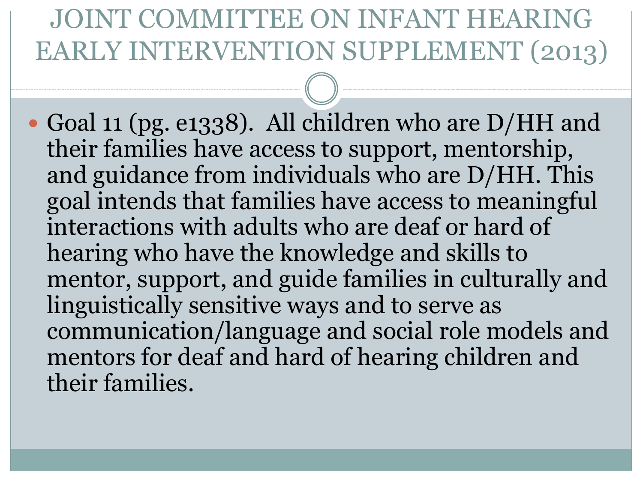#### JOINT COMMITTEE ON INF EARLY INTERVENTION SUPPLEMENT (2013)

 Goal 11 (pg. e1338). All children who are D/HH and their families have access to support, mentorship, and guidance from individuals who are D/HH. This goal intends that families have access to meaningful interactions with adults who are deaf or hard of hearing who have the knowledge and skills to mentor, support, and guide families in culturally and linguistically sensitive ways and to serve as communication/language and social role models and mentors for deaf and hard of hearing children and their families.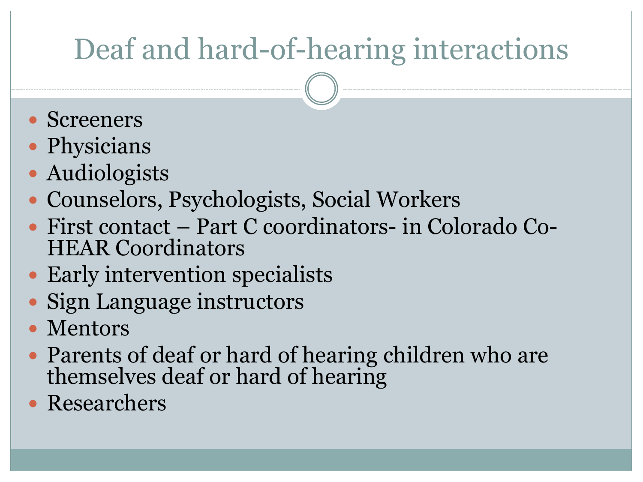# Deaf and hard-of-hearing interactions

- Screeners
- Physicians
- Audiologists
- Counselors, Psychologists, Social Workers
- First contact Part C coordinators- in Colorado Co-HEAR Coordinators
- Early intervention specialists
- Sign Language instructors
- Mentors
- Parents of deaf or hard of hearing children who are themselves deaf or hard of hearing
- Researchers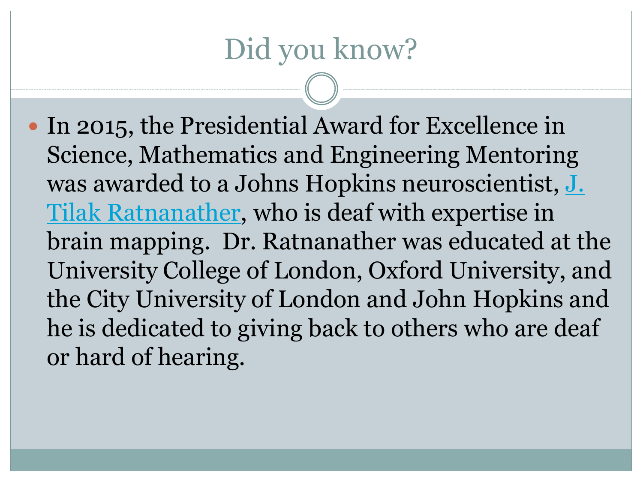## Did you know?

• In 2015, the Presidential Award for Excellence in Science, Mathematics and Engineering Mentoring [was awarded to a Johns Hopkins neuroscientist,](http://www.cis.jhu.edu/~tilak/) J. Tilak Ratnanather, who is deaf with expertise in brain mapping. Dr. Ratnanather was educated at the University College of London, Oxford University, and the City University of London and John Hopkins and he is dedicated to giving back to others who are deaf or hard of hearing.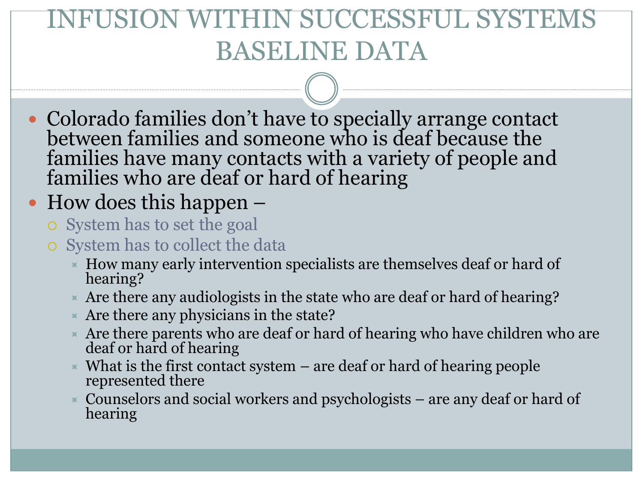### N SUCCESSFUL SYS BASELINE DATA

 Colorado families don't have to specially arrange contact between families and someone who is deaf because the families have many contacts with a variety of people and families who are deaf or hard of hearing

#### • How does this happen –

- System has to set the goal
- System has to collect the data
	- $\blacktriangleright$  How many early intervention specialists are themselves deaf or hard of hearing?
	- $\overline{\phantom{a}}$  Are there any audiologists in the state who are deaf or hard of hearing?
	- $\times$  Are there any physicians in the state?
	- $\star$  Are there parents who are deaf or hard of hearing who have children who are deaf or hard of hearing
	- $\times$  What is the first contact system  $-$  are deaf or hard of hearing people represented there
	- $\overline{\phantom{a}}$  Counselors and social workers and psychologists are any deaf or hard of hearing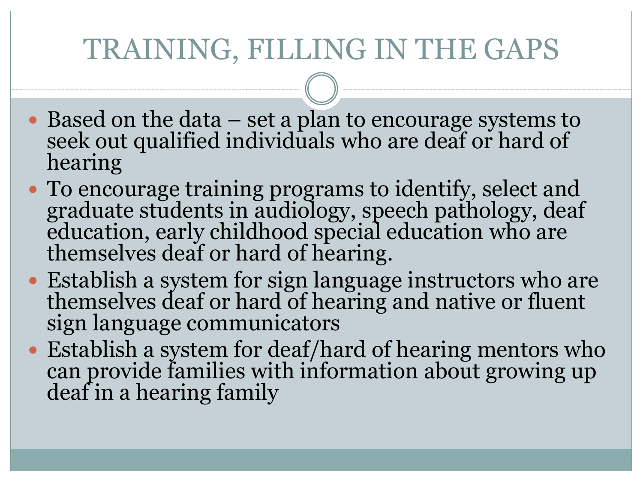## TRAINING, FILLING IN THE GAPS

- Based on the data set a plan to encourage systems to seek out qualified individuals who are deaf or hard of hearing
- To encourage training programs to identify, select and graduate students in audiology, speech pathology, deaf education, early childhood special education who are themselves deaf or hard of hearing.
- Establish a system for sign language instructors who are themselves deaf or hard of hearing and native or fluent sign language communicators
- Establish a system for deaf/hard of hearing mentors who can provide families with information about growing up deaf in a hearing family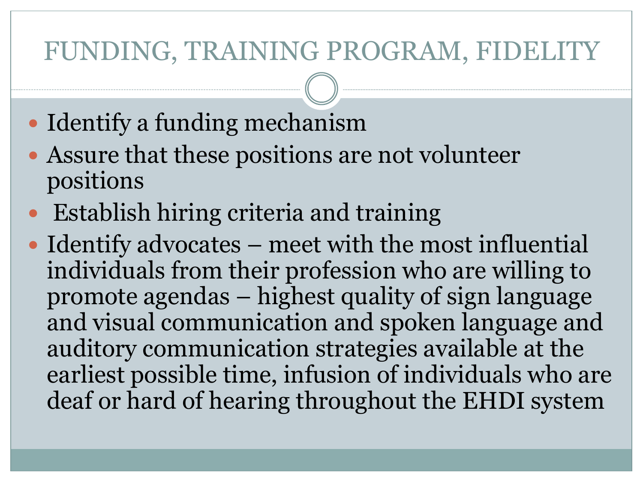#### FUNDING, TRAINING PROGRAM, FIDELITY

- Identify a funding mechanism
- Assure that these positions are not volunteer positions
- Establish hiring criteria and training
- Identify advocates meet with the most influential individuals from their profession who are willing to promote agendas – highest quality of sign language and visual communication and spoken language and auditory communication strategies available at the earliest possible time, infusion of individuals who are deaf or hard of hearing throughout the EHDI system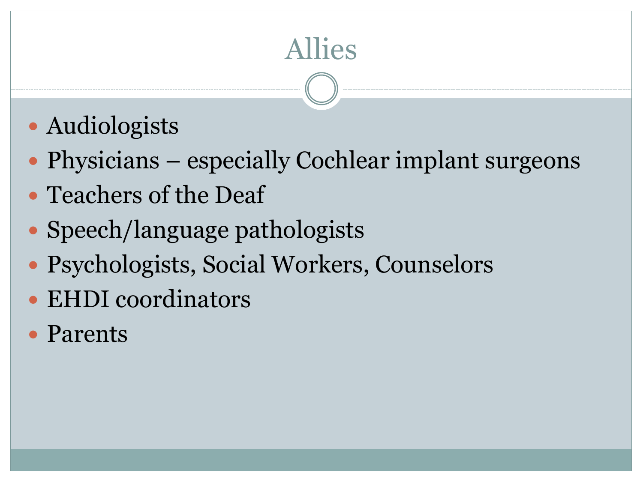# Allies

- Audiologists
- Physicians especially Cochlear implant surgeons
- Teachers of the Deaf
- Speech/language pathologists
- Psychologists, Social Workers, Counselors
- EHDI coordinators
- Parents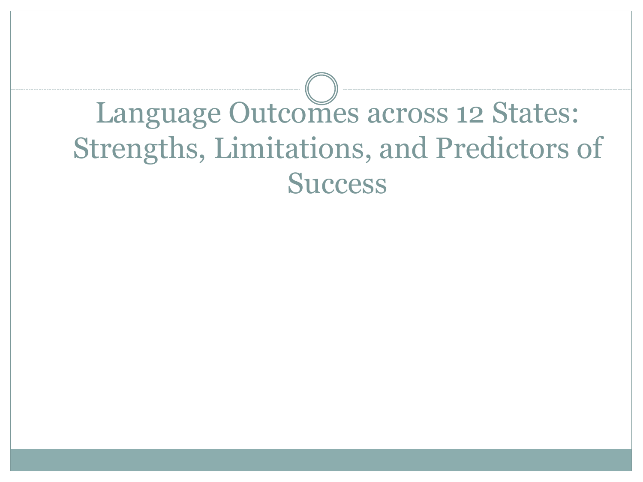# Language Outcomes across 12 States: Strengths, Limitations, and Predictors of **Success**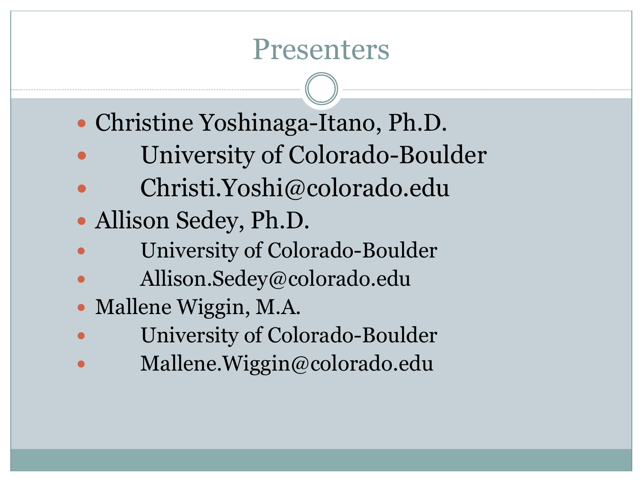#### Presenters

- Christine Yoshinaga-Itano, Ph.D.
- University of Colorado-Boulder
- Christi.Yoshi@colorado.edu
- Allison Sedey, Ph.D.
- University of Colorado-Boulder
- Allison.Sedey@colorado.edu
- Mallene Wiggin, M.A.
- University of Colorado-Boulder
- Mallene.Wiggin@colorado.edu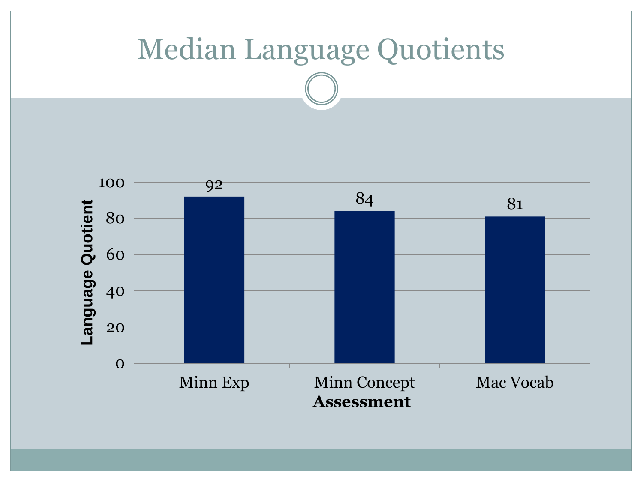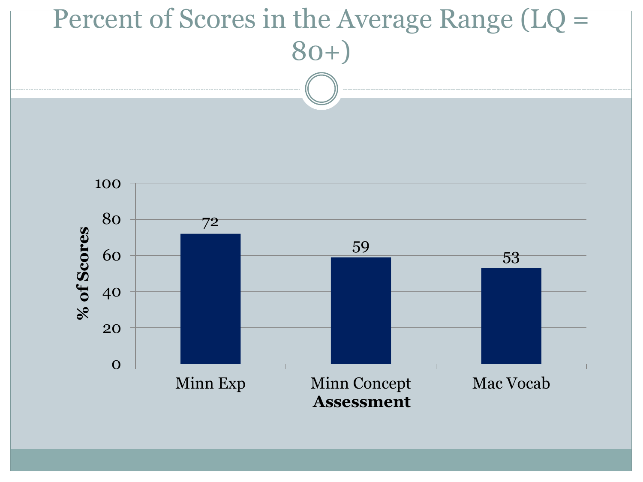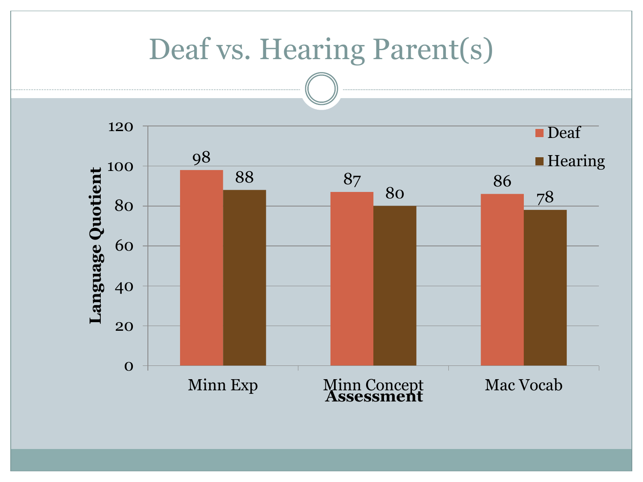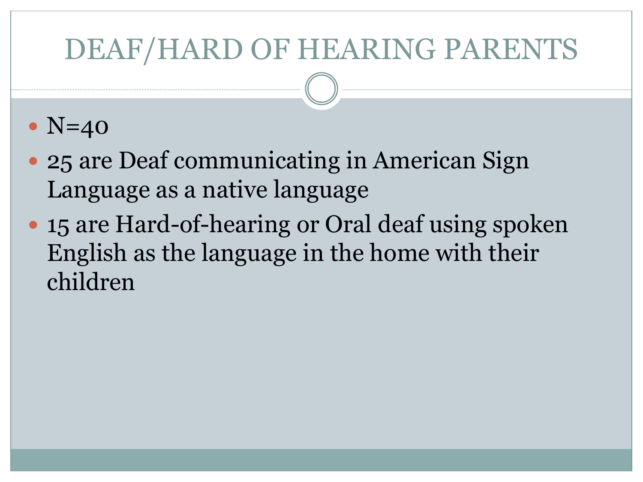### DEAF/HARD OF HEARING PARENTS

#### $\bullet$  N=40

- 25 are Deaf communicating in American Sign Language as a native language
- 15 are Hard-of-hearing or Oral deaf using spoken English as the language in the home with their children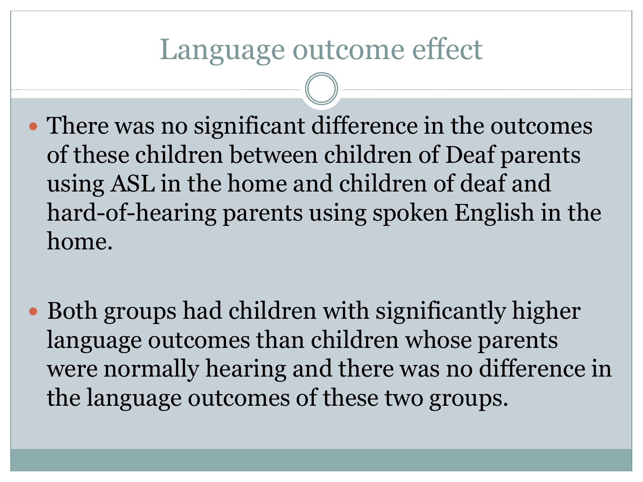#### Language outcome effect

- There was no significant difference in the outcomes of these children between children of Deaf parents using ASL in the home and children of deaf and hard-of-hearing parents using spoken English in the home.
- Both groups had children with significantly higher language outcomes than children whose parents were normally hearing and there was no difference in the language outcomes of these two groups.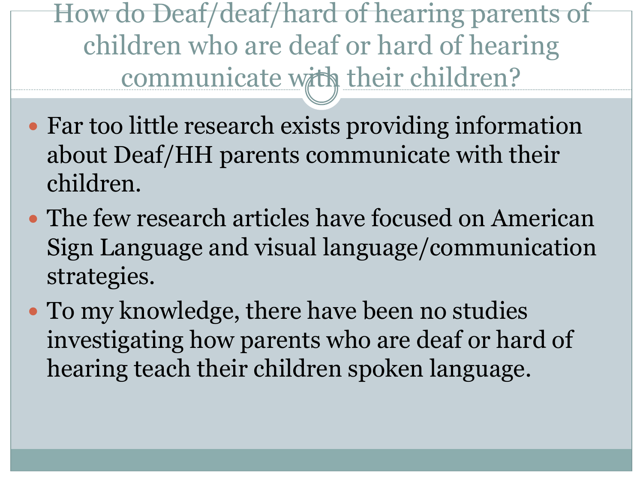How do Deaf/deaf/hard of hearing parents of children who are deaf or hard of hearing communicate with their children?

- Far too little research exists providing information about Deaf/HH parents communicate with their children.
- The few research articles have focused on American Sign Language and visual language/communication strategies.
- To my knowledge, there have been no studies investigating how parents who are deaf or hard of hearing teach their children spoken language.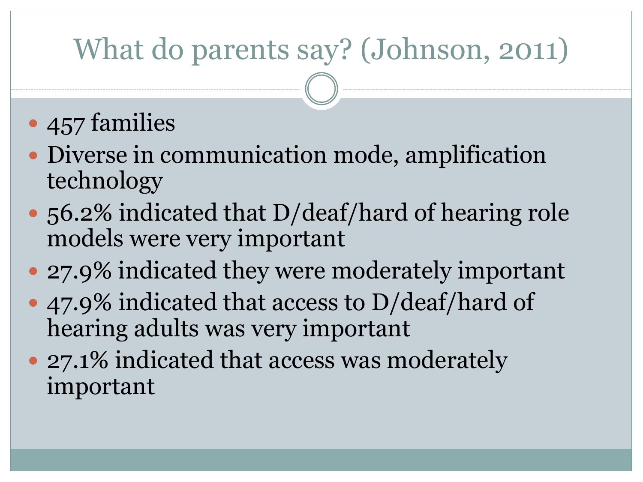# What do parents say? (Johnson, 2011)

- 457 families
- Diverse in communication mode, amplification technology
- 56.2% indicated that D/deaf/hard of hearing role models were very important
- 27.9% indicated they were moderately important
- 47.9% indicated that access to D/deaf/hard of hearing adults was very important
- 27.1% indicated that access was moderately important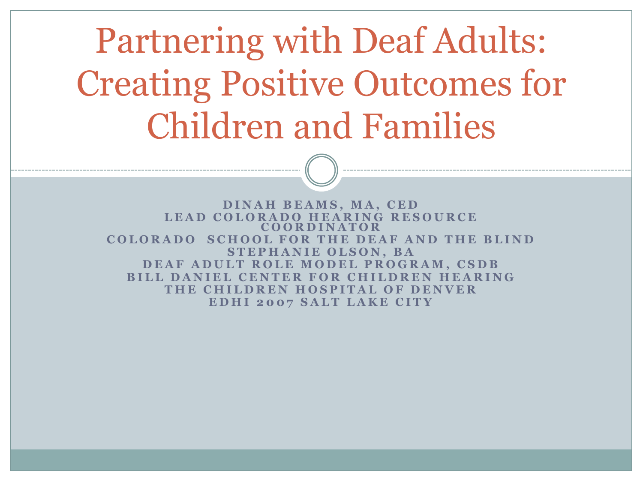Partnering with Deaf Adults: Creating Positive Outcomes for Children and Families

**D I N A H B E A M S , M A , C E D** LEAD COLORADO HEARING RESOURCE **C O O R D I N A T O R COLORADO SCHOOL FOR THE DEAF AND THE BLIND STEPHANIE OLSON, BA DEAF ADULT ROLE MODEL PROGRAM, CSDB BILL DANIEL CENTER FOR CHILDREN HEARING T H E C H I L D R E N H O S P I T A L O F D E N V E R EDHI 2007 SALT LAKE CITY**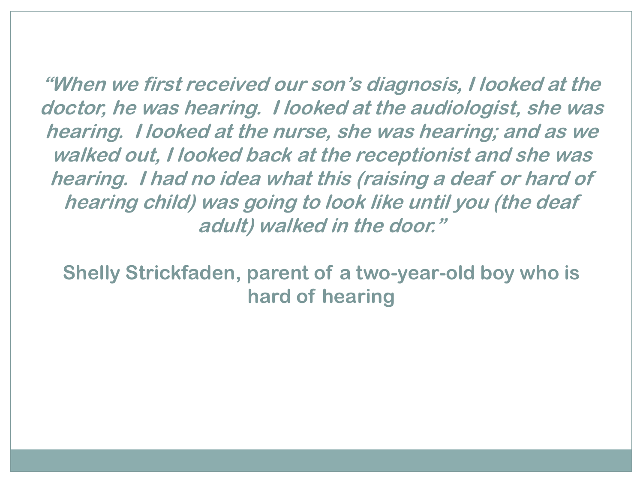**"When we first received our son's diagnosis, I looked at the doctor, he was hearing. I looked at the audiologist, she was hearing. I looked at the nurse, she was hearing; and as we walked out, I looked back at the receptionist and she was hearing. I had no idea what this (raising a deaf or hard of hearing child) was going to look like until you (the deaf adult) walked in the door."**

**Shelly Strickfaden, parent of a two-year-old boy who is hard of hearing**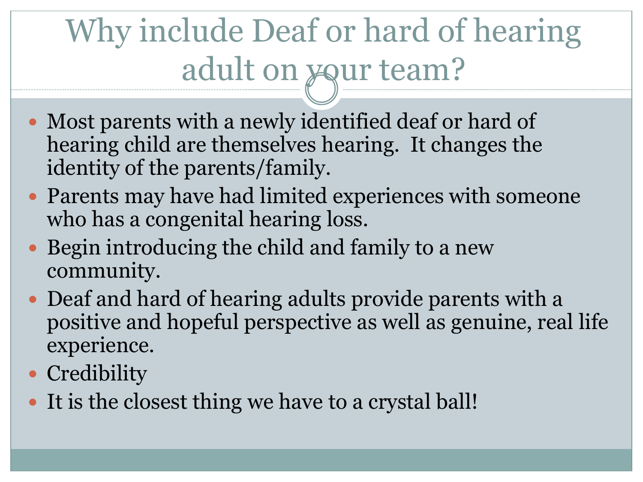# Why include Deaf or hard of hearing adult on your team?

- Most parents with a newly identified deaf or hard of hearing child are themselves hearing. It changes the identity of the parents/family.
- Parents may have had limited experiences with someone who has a congenital hearing loss.
- Begin introducing the child and family to a new community.
- Deaf and hard of hearing adults provide parents with a positive and hopeful perspective as well as genuine, real life experience.
- Credibility
- It is the closest thing we have to a crystal ball!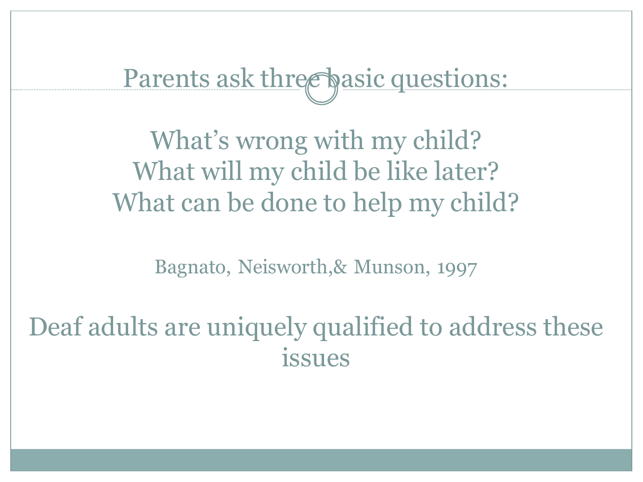Parents ask three basic questions:

What's wrong with my child? What will my child be like later? What can be done to help my child?

Bagnato, Neisworth,& Munson, 1997

Deaf adults are uniquely qualified to address these issues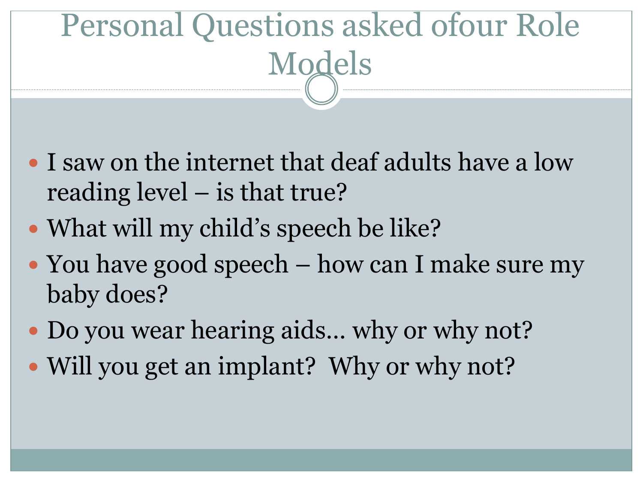# Personal Questions asked ofour Role Models

- I saw on the internet that deaf adults have a low reading level – is that true?
- What will my child's speech be like?
- You have good speech how can I make sure my baby does?
- Do you wear hearing aids... why or why not?
- Will you get an implant? Why or why not?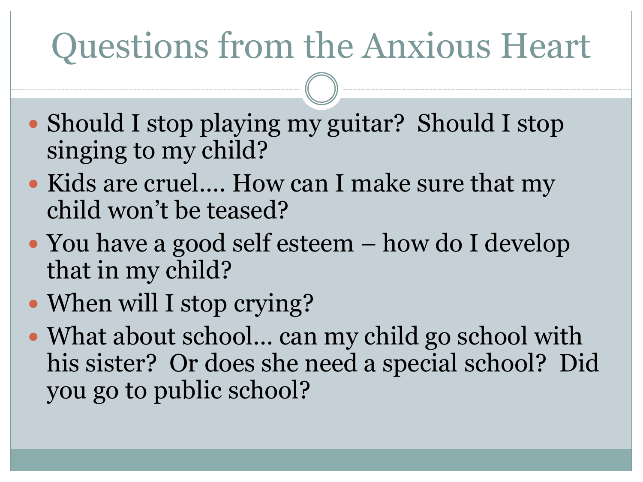# Questions from the Anxious Heart

- Should I stop playing my guitar? Should I stop singing to my child?
- Kids are cruel…. How can I make sure that my child won't be teased?
- You have a good self esteem how do I develop that in my child?
- When will I stop crying?
- What about school... can my child go school with his sister? Or does she need a special school? Did you go to public school?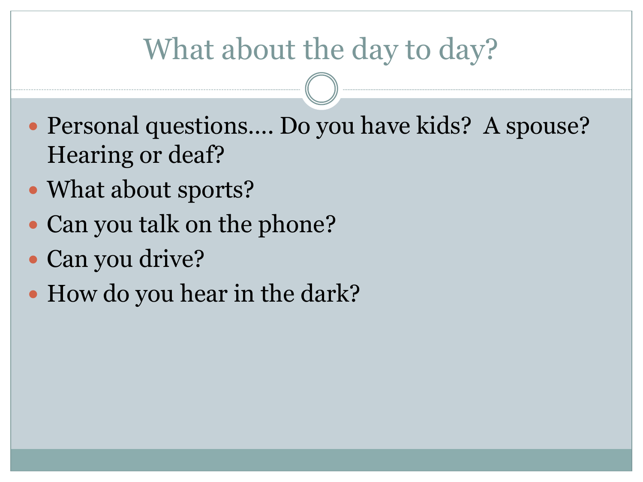# What about the day to day?

- Personal questions.... Do you have kids? A spouse? Hearing or deaf?
- What about sports?
- Can you talk on the phone?
- Can you drive?
- How do you hear in the dark?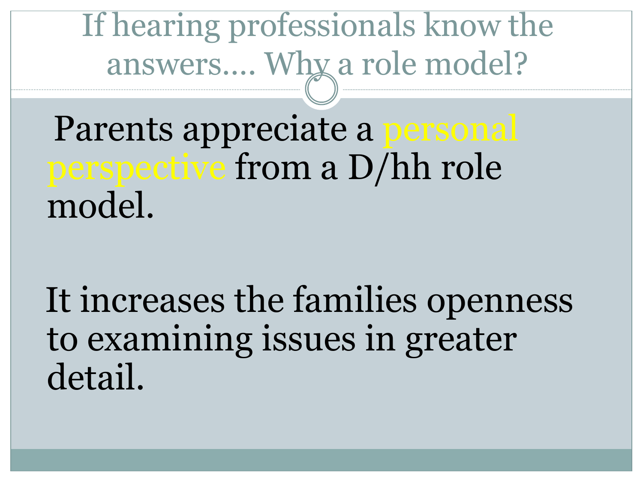If hearing professionals know the answers…. Why a role model?

Parents appreciate a personal perspective from a D/hh role model.

It increases the families openness to examining issues in greater detail.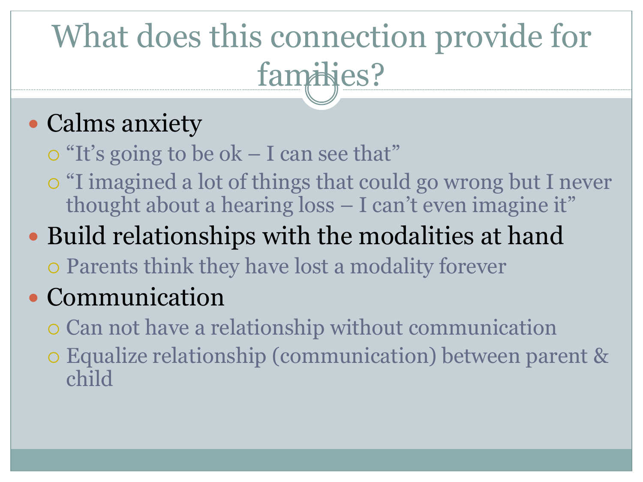# What does this connection provide for families?

### • Calms anxiety

- $\circ$  "It's going to be ok I can see that"
- "I imagined a lot of things that could go wrong but I never thought about a hearing loss – I can't even imagine it"

# Build relationships with the modalities at hand

Parents think they have lost a modality forever

#### • Communication

- Can not have a relationship without communication
- Equalize relationship (communication) between parent & child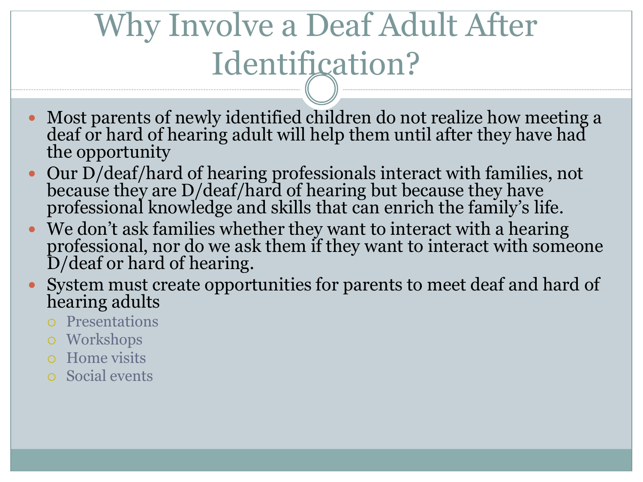# Why Involve a Deaf Adult After Identification?

- Most parents of newly identified children do not realize how meeting a deaf or hard of hearing adult will help them until after they have had the opportunity
- Our D/deaf/hard of hearing professionals interact with families, not because they are D/deaf/hard of hearing but because they have professional knowledge and skills that can enrich the family's life.
- We don't ask families whether they want to interact with a hearing professional, nor do we ask them if they want to interact with someone D/deaf or hard of hearing.
- System must create opportunities for parents to meet deaf and hard of hearing adults
	- Presentations
	- Workshops
	- Home visits
	- Social events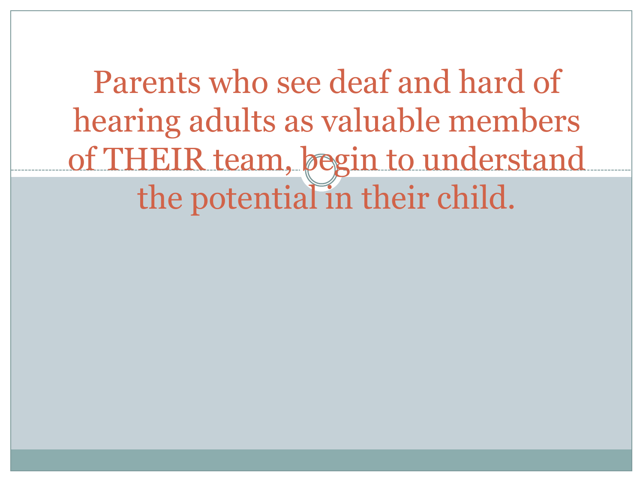Parents who see deaf and hard of hearing adults as valuable members of THEIR team, begin to understand the potential in their child.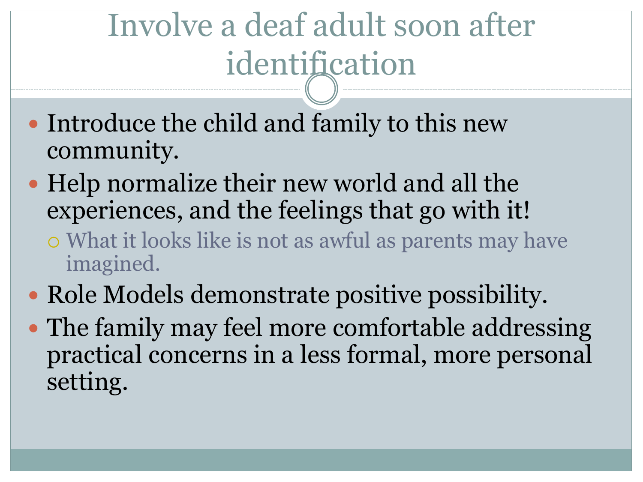# Involve a deaf adult soon after identification

- Introduce the child and family to this new community.
- Help normalize their new world and all the experiences, and the feelings that go with it!
	- What it looks like is not as awful as parents may have imagined.
- Role Models demonstrate positive possibility.
- The family may feel more comfortable addressing practical concerns in a less formal, more personal setting.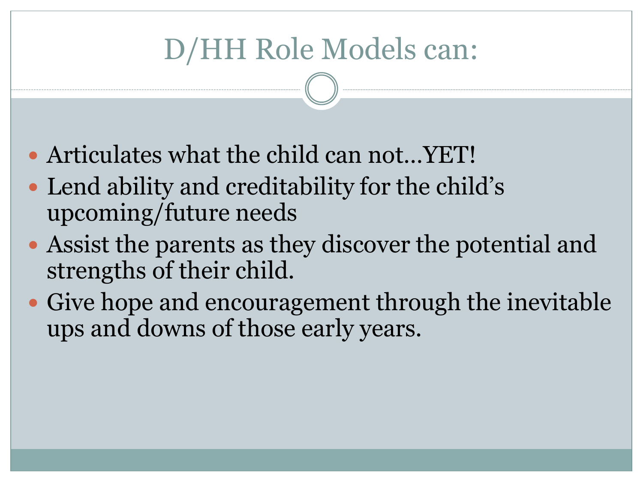# D/HH Role Models can:

- Articulates what the child can not…YET!
- Lend ability and creditability for the child's upcoming/future needs
- Assist the parents as they discover the potential and strengths of their child.
- Give hope and encouragement through the inevitable ups and downs of those early years.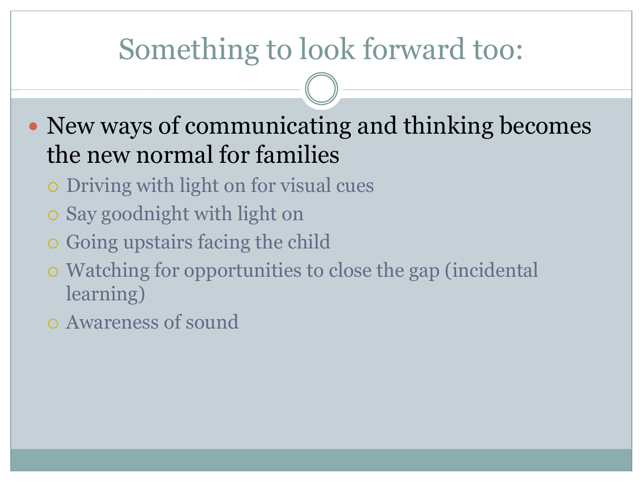## Something to look forward too:

- New ways of communicating and thinking becomes the new normal for families
	- Driving with light on for visual cues
	- Say goodnight with light on
	- Going upstairs facing the child
	- Watching for opportunities to close the gap (incidental learning)
	- Awareness of sound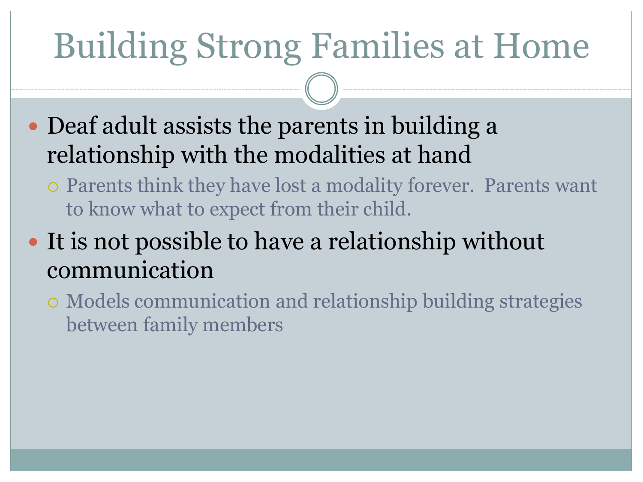# Building Strong Families at Home

- Deaf adult assists the parents in building a relationship with the modalities at hand
	- Parents think they have lost a modality forever. Parents want to know what to expect from their child.

• It is not possible to have a relationship without communication

 Models communication and relationship building strategies between family members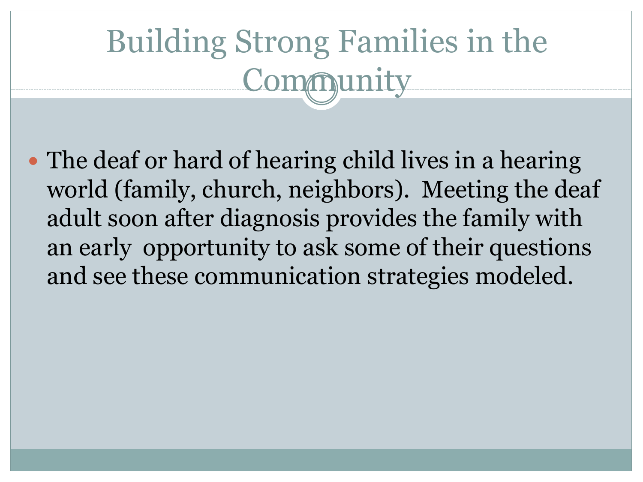# Building Strong Families in the Community

• The deaf or hard of hearing child lives in a hearing world (family, church, neighbors). Meeting the deaf adult soon after diagnosis provides the family with an early opportunity to ask some of their questions and see these communication strategies modeled.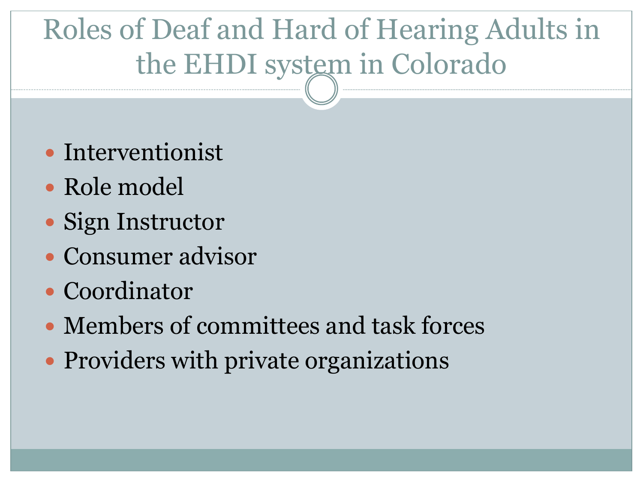# Roles of Deaf and Hard of Hearing Adults in the EHDI system in Colorado

- Interventionist
- Role model
- Sign Instructor
- Consumer advisor
- Coordinator
- Members of committees and task forces
- Providers with private organizations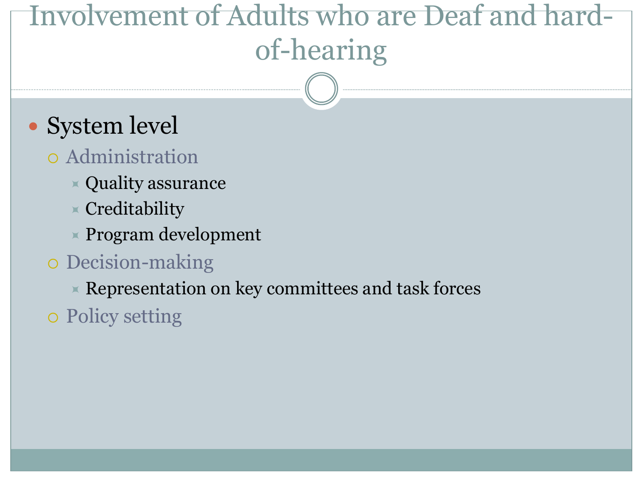# Involvement of Adults who are Deaf and hardof-hearing

#### • System level

#### Administration

- $\ast$  Quality assurance
- $\times$  Creditability
- $\times$  Program development

#### Decision-making

 $\times$  Representation on key committees and task forces

Policy setting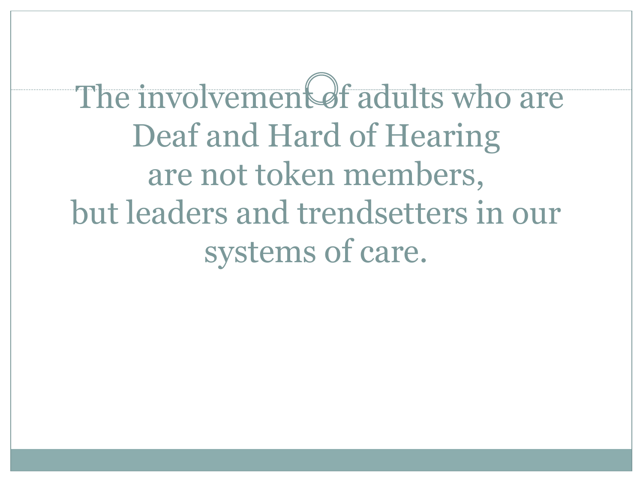The involvement of adults who are Deaf and Hard of Hearing are not token members, but leaders and trendsetters in our systems of care.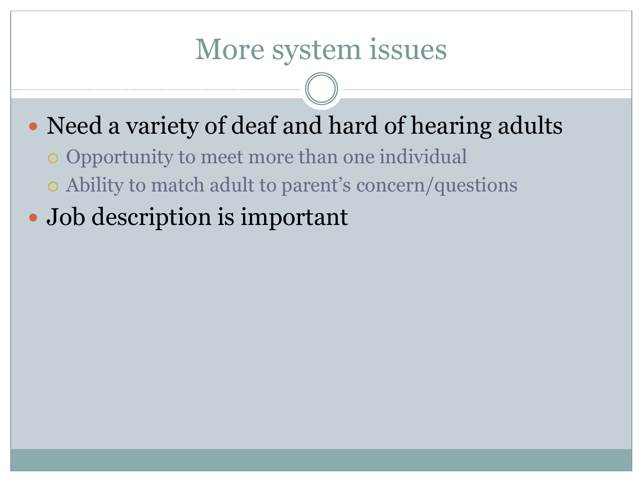#### More system issues

#### • Need a variety of deaf and hard of hearing adults

- Opportunity to meet more than one individual
- Ability to match adult to parent's concern/questions
- Job description is important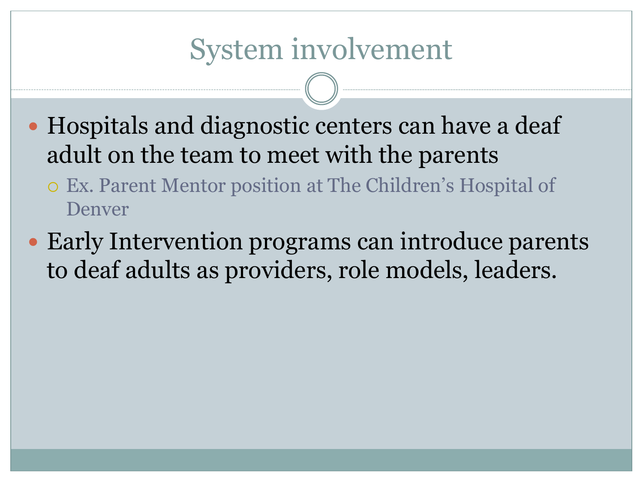#### System involvement

- Hospitals and diagnostic centers can have a deaf adult on the team to meet with the parents
	- Ex. Parent Mentor position at The Children's Hospital of Denver
- Early Intervention programs can introduce parents to deaf adults as providers, role models, leaders.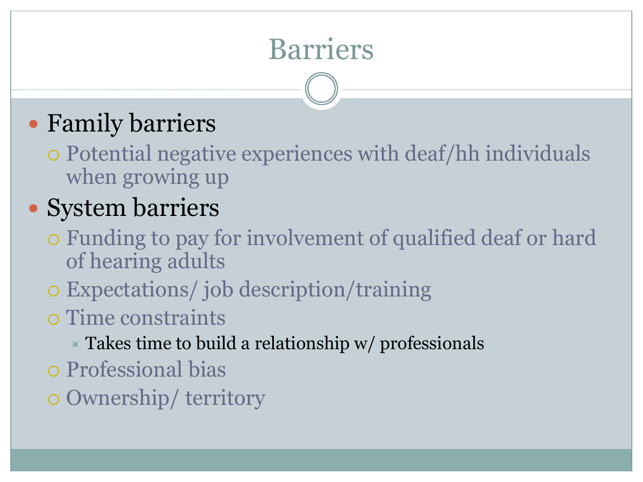# Barriers

#### Family barriers

 Potential negative experiences with deaf/hh individuals when growing up

#### • System barriers

- Funding to pay for involvement of qualified deaf or hard of hearing adults
- Expectations/ job description/training
- Time constraints
	- $\times$  Takes time to build a relationship w/ professionals
- Professional bias
- Ownership/ territory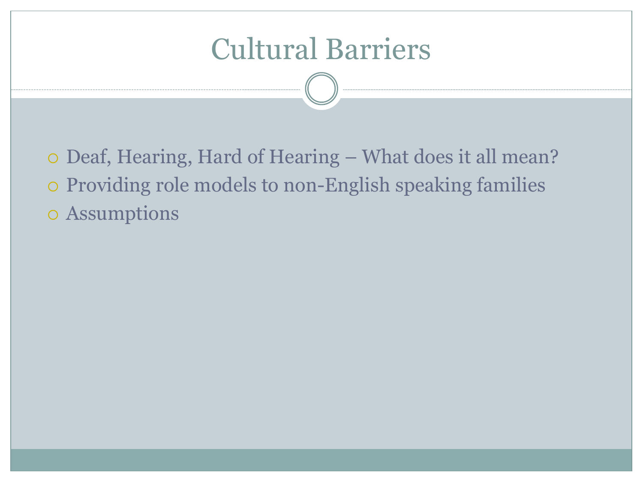#### Cultural Barriers

o Deaf, Hearing, Hard of Hearing – What does it all mean? Providing role models to non-English speaking families Assumptions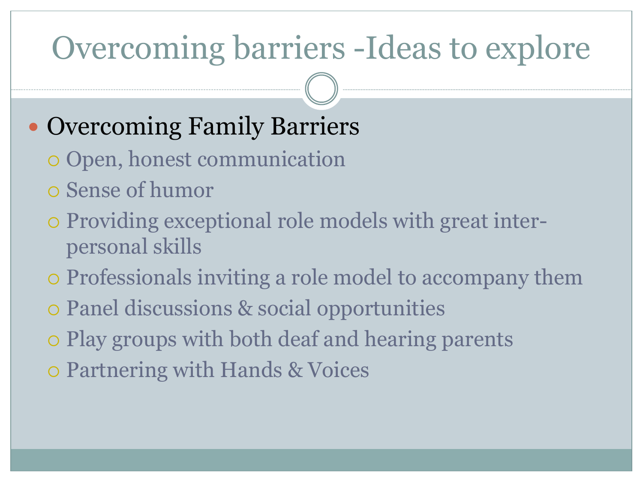# Overcoming barriers -Ideas to explore

### • Overcoming Family Barriers

- Open, honest communication
- Sense of humor
- Providing exceptional role models with great interpersonal skills
- Professionals inviting a role model to accompany them
- Panel discussions & social opportunities
- Play groups with both deaf and hearing parents
- Partnering with Hands & Voices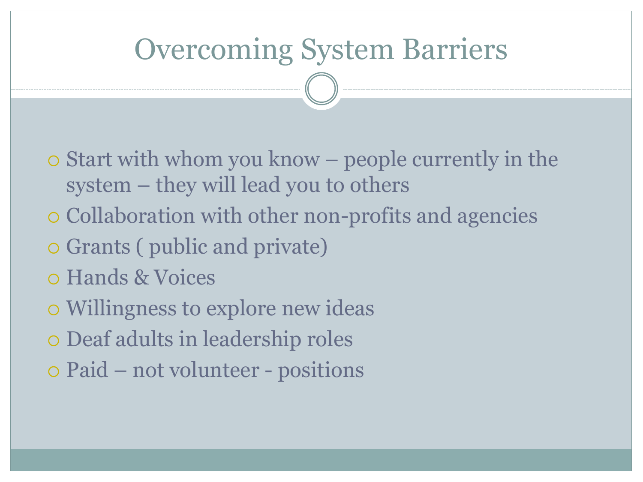#### Overcoming System Barriers

- Start with whom you know people currently in the system – they will lead you to others
- Collaboration with other non-profits and agencies
- Grants ( public and private)
- Hands & Voices
- Willingness to explore new ideas
- Deaf adults in leadership roles
- Paid not volunteer positions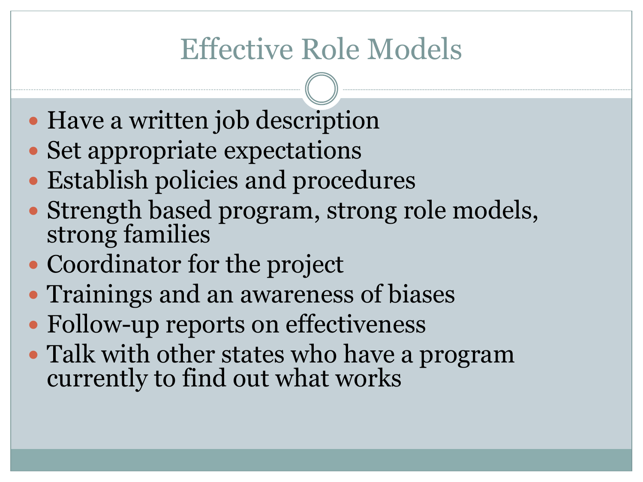# Effective Role Models

- Have a written job description
- Set appropriate expectations
- Establish policies and procedures
- Strength based program, strong role models, strong families
- Coordinator for the project
- Trainings and an awareness of biases
- Follow-up reports on effectiveness
- Talk with other states who have a program currently to find out what works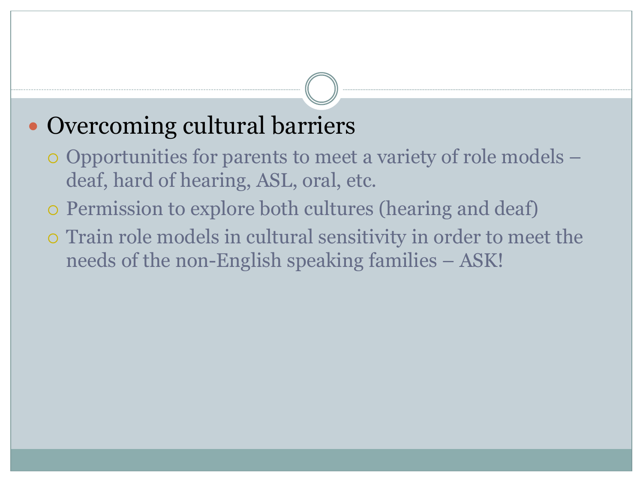#### • Overcoming cultural barriers

- Opportunities for parents to meet a variety of role models deaf, hard of hearing, ASL, oral, etc.
- Permission to explore both cultures (hearing and deaf)
- Train role models in cultural sensitivity in order to meet the needs of the non-English speaking families – ASK!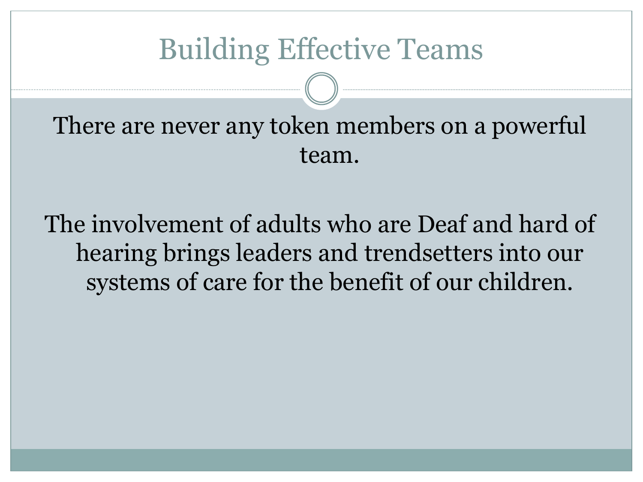#### Building Effective Teams

There are never any token members on a powerful team.

The involvement of adults who are Deaf and hard of hearing brings leaders and trendsetters into our systems of care for the benefit of our children.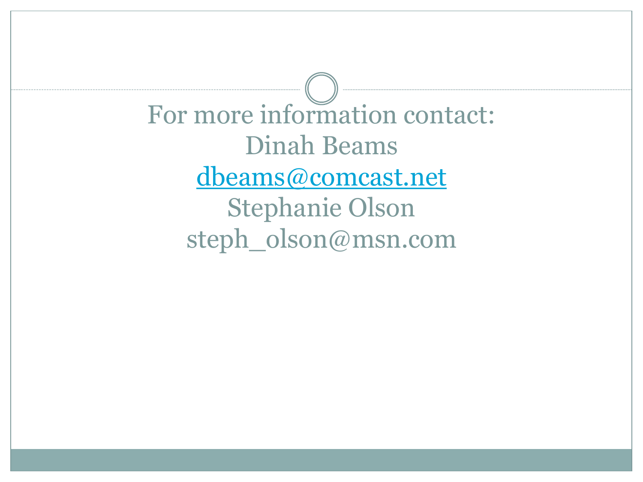For more information contact: Dinah Beams [dbeams@comcast.net](mailto:dbeams@comcast.net) Stephanie Olson steph\_olson@msn.com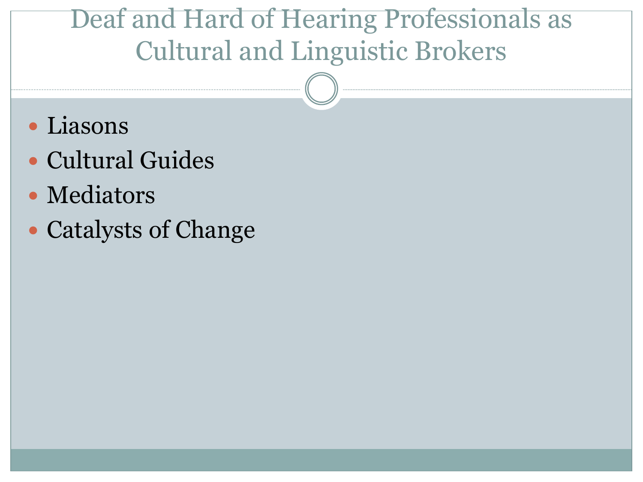#### Deaf and Hard of Hearing Professionals as Cultural and Linguistic Brokers

- Liasons
- Cultural Guides
- Mediators
- Catalysts of Change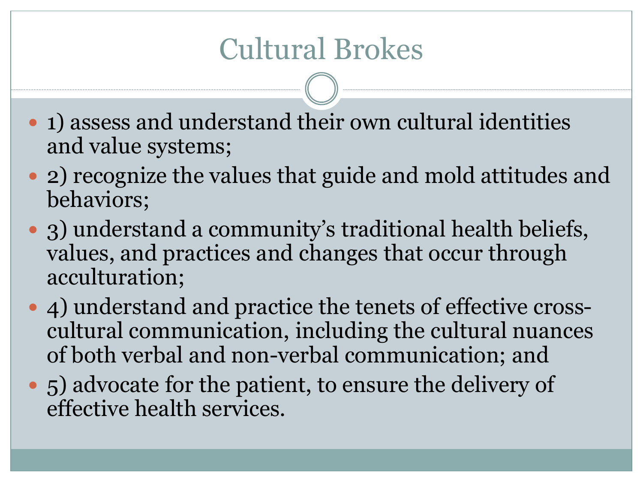# Cultural Brokes

- 1) assess and understand their own cultural identities and value systems;
- 2) recognize the values that guide and mold attitudes and behaviors;
- 3) understand a community's traditional health beliefs, values, and practices and changes that occur through acculturation;
- 4) understand and practice the tenets of effective crosscultural communication, including the cultural nuances of both verbal and non-verbal communication; and
- 5) advocate for the patient, to ensure the delivery of effective health services.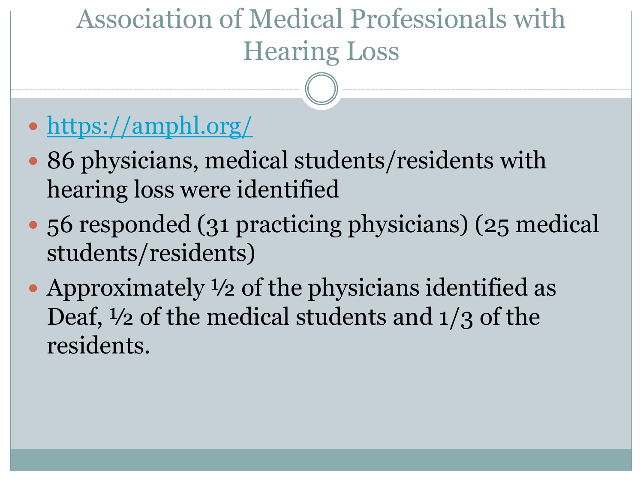# Association of Medical Professionals with Hearing Loss

- <https://amphl.org/>
- 86 physicians, medical students/residents with hearing loss were identified
- 56 responded (31 practicing physicians) (25 medical students/residents)
- Approximately  $\frac{1}{2}$  of the physicians identified as Deaf, ½ of the medical students and 1/3 of the residents.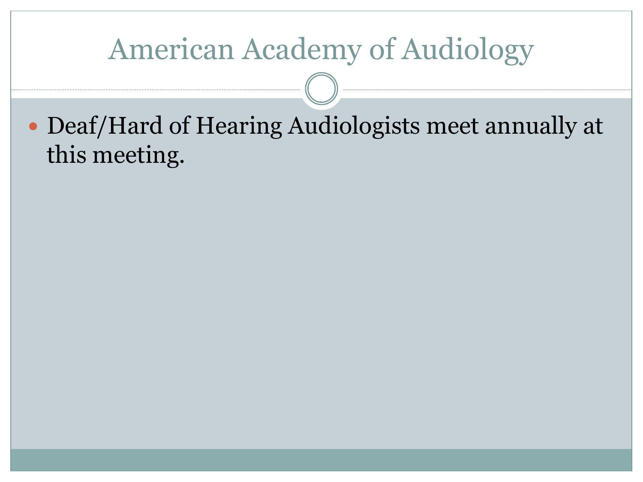#### American Academy of Audiology

 Deaf/Hard of Hearing Audiologists meet annually at this meeting.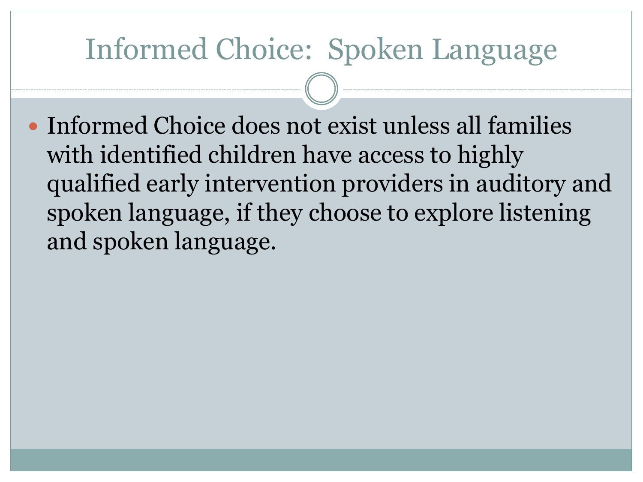#### Informed Choice: Spoken Language

• Informed Choice does not exist unless all families with identified children have access to highly qualified early intervention providers in auditory and spoken language, if they choose to explore listening and spoken language.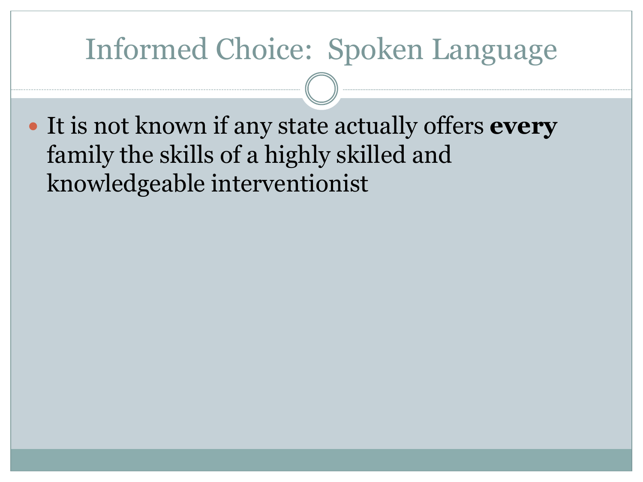#### Informed Choice: Spoken Language

 It is not known if any state actually offers **every** family the skills of a highly skilled and knowledgeable interventionist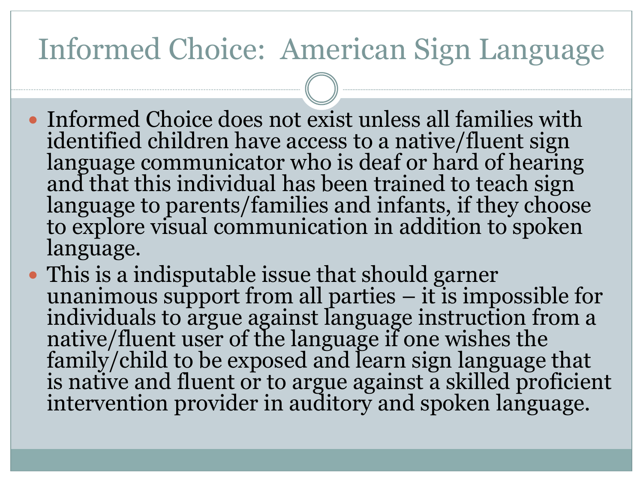### Informed Choice: American Sign Language

- Informed Choice does not exist unless all families with identified children have access to a native/fluent sign language communicator who is deaf or hard of hearing and that this individual has been trained to teach sign language to parents/families and infants, if they choose to explore visual communication in addition to spoken language.
- This is a indisputable issue that should garner unanimous support from all parties  $-$  it is impossible for individuals to argue against language instruction from a native/fluent user of the language if one wishes the family/child to be exposed and learn sign language that is native and fluent or to argue against a skilled proficient intervention provider in auditory and spoken language.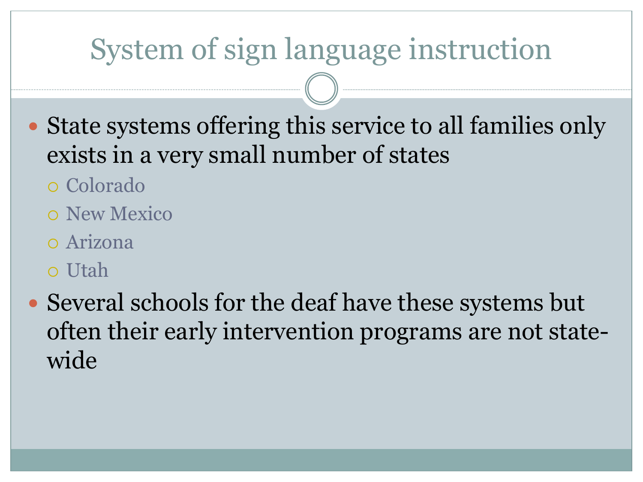# System of sign language instruction

- State systems offering this service to all families only exists in a very small number of states
	- Colorado
	- New Mexico
	- Arizona
	- Utah
- Several schools for the deaf have these systems but often their early intervention programs are not statewide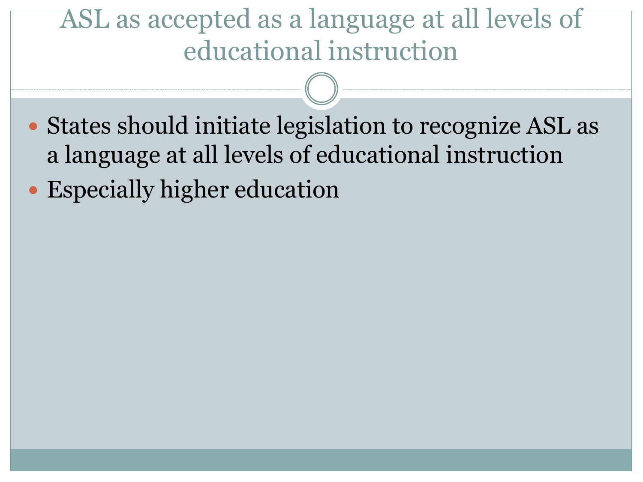#### ASL as accepted as a language at all levels of educational instruction

- States should initiate legislation to recognize ASL as a language at all levels of educational instruction
- Especially higher education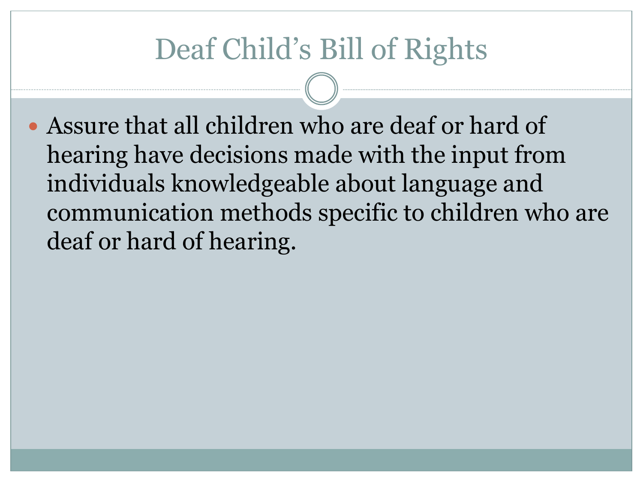Assure that all children who are deaf or hard of hearing have decisions made with the input from individuals knowledgeable about language and communication methods specific to children who are deaf or hard of hearing.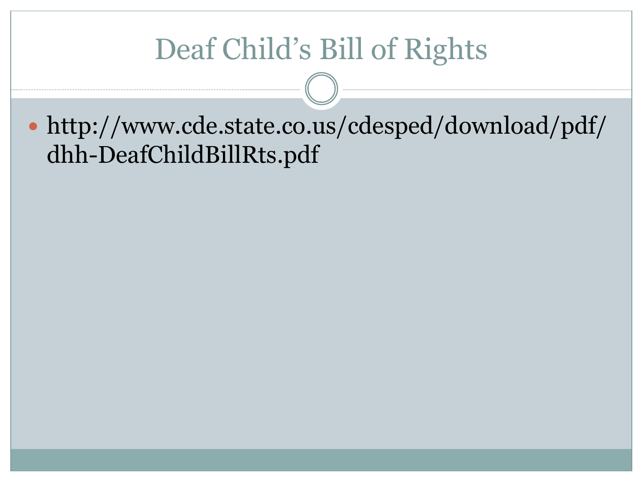http://www.cde.state.co.us/cdesped/download/pdf/ dhh-DeafChildBillRts.pdf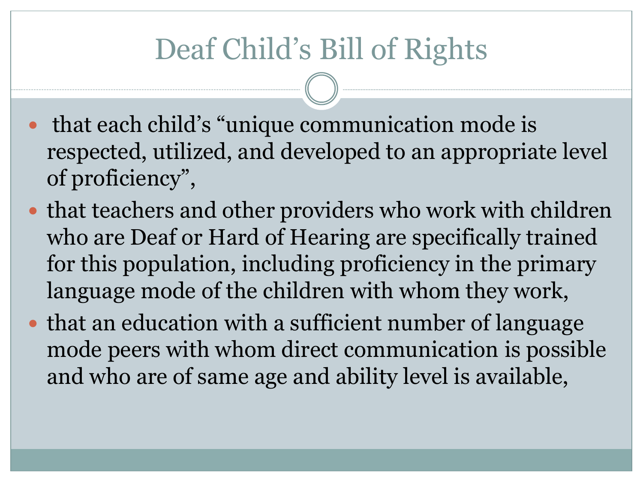- that each child's "unique communication mode is respected, utilized, and developed to an appropriate level of proficiency",
- that teachers and other providers who work with children who are Deaf or Hard of Hearing are specifically trained for this population, including proficiency in the primary language mode of the children with whom they work,
- that an education with a sufficient number of language mode peers with whom direct communication is possible and who are of same age and ability level is available,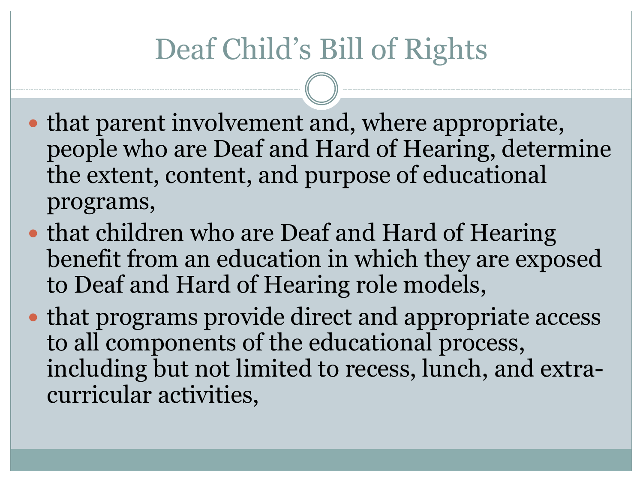- that parent involvement and, where appropriate, people who are Deaf and Hard of Hearing, determine the extent, content, and purpose of educational programs,
- that children who are Deaf and Hard of Hearing benefit from an education in which they are exposed to Deaf and Hard of Hearing role models,
- that programs provide direct and appropriate access to all components of the educational process, including but not limited to recess, lunch, and extracurricular activities,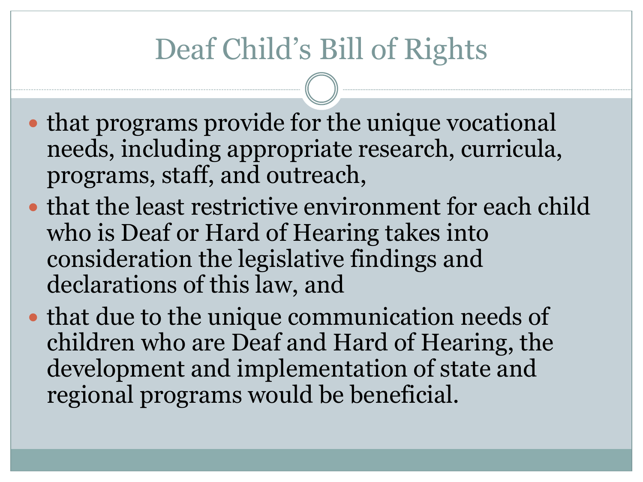- that programs provide for the unique vocational needs, including appropriate research, curricula, programs, staff, and outreach,
- that the least restrictive environment for each child who is Deaf or Hard of Hearing takes into consideration the legislative findings and declarations of this law, and
- that due to the unique communication needs of children who are Deaf and Hard of Hearing, the development and implementation of state and regional programs would be beneficial.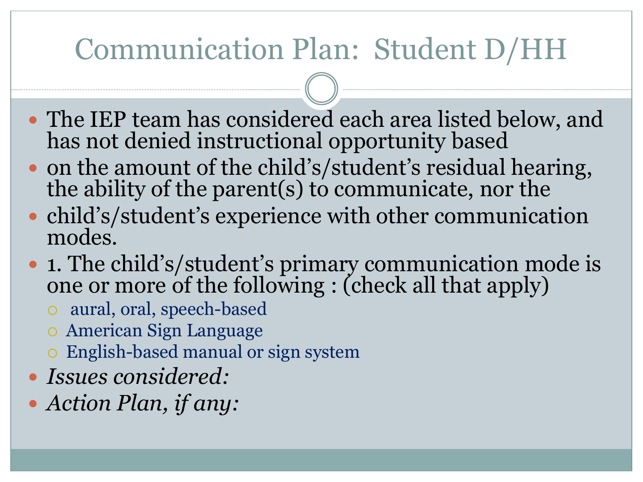# Communication Plan: Student D/HH

- The IEP team has considered each area listed below, and has not denied instructional opportunity based
- on the amount of the child's/student's residual hearing, the ability of the parent(s) to communicate, nor the
- child's/student's experience with other communication modes.
- **1.** The child's/student's primary communication mode is one or more of the following : (check all that apply)
	- aural, oral, speech-based
	- American Sign Language
	- English-based manual or sign system
- *Issues considered:*
- *Action Plan, if any:*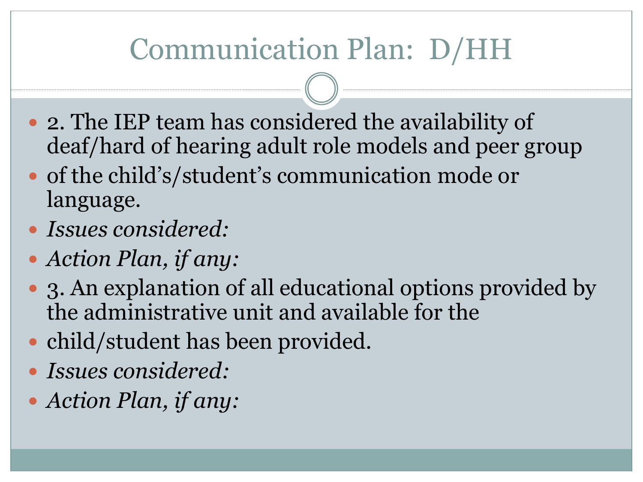# Communication Plan: D/HH

- 2. The IEP team has considered the availability of deaf/hard of hearing adult role models and peer group
- of the child's/student's communication mode or language.
- *Issues considered:*
- *Action Plan, if any:*
- 3. An explanation of all educational options provided by the administrative unit and available for the
- child/student has been provided.
- *Issues considered:*
- *Action Plan, if any:*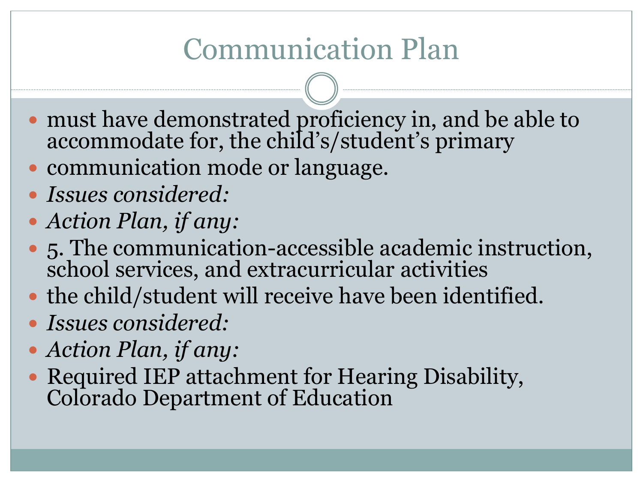# Communication Plan

- must have demonstrated proficiency in, and be able to accommodate for, the child's/student's primary
- communication mode or language.
- *Issues considered:*
- *Action Plan, if any:*
- 5. The communication-accessible academic instruction, school services, and extracurricular activities
- the child/student will receive have been identified.
- *Issues considered:*
- *Action Plan, if any:*
- Required IEP attachment for Hearing Disability, Colorado Department of Education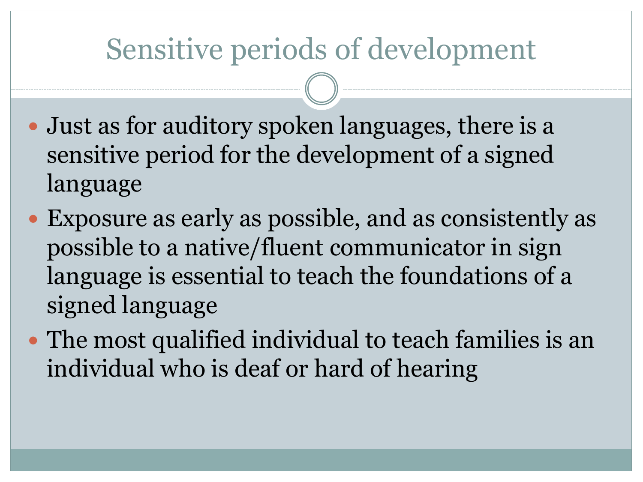### Sensitive periods of development

- Just as for auditory spoken languages, there is a sensitive period for the development of a signed language
- Exposure as early as possible, and as consistently as possible to a native/fluent communicator in sign language is essential to teach the foundations of a signed language
- The most qualified individual to teach families is an individual who is deaf or hard of hearing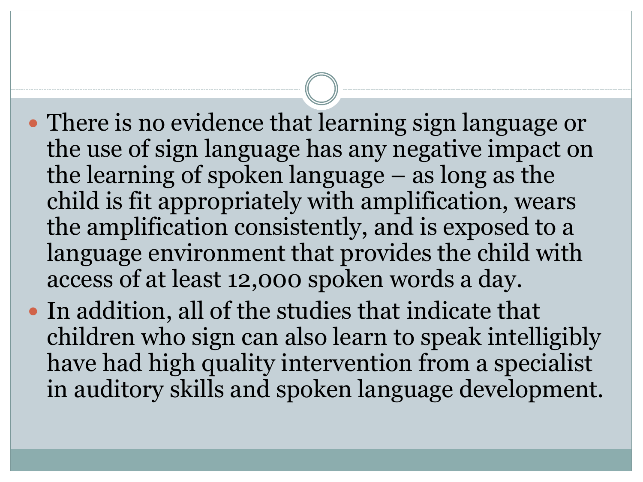- There is no evidence that learning sign language or the use of sign language has any negative impact on the learning of spoken language – as long as the child is fit appropriately with amplification, wears the amplification consistently, and is exposed to a language environment that provides the child with access of at least 12,000 spoken words a day.
- In addition, all of the studies that indicate that children who sign can also learn to speak intelligibly have had high quality intervention from a specialist in auditory skills and spoken language development.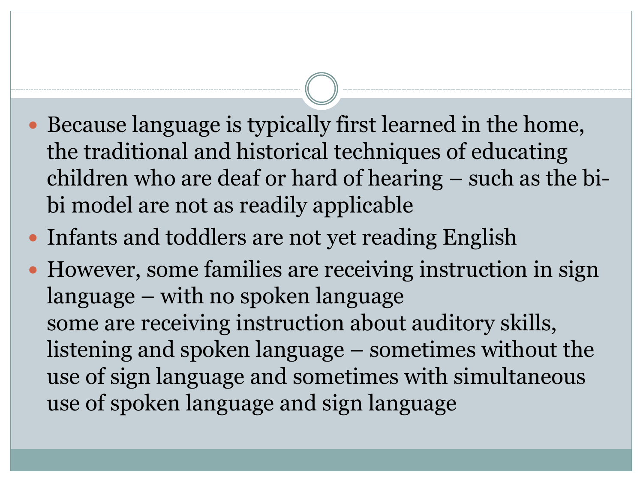- Because language is typically first learned in the home, the traditional and historical techniques of educating children who are deaf or hard of hearing – such as the bibi model are not as readily applicable
- Infants and toddlers are not yet reading English
- However, some families are receiving instruction in sign language – with no spoken language some are receiving instruction about auditory skills, listening and spoken language – sometimes without the use of sign language and sometimes with simultaneous use of spoken language and sign language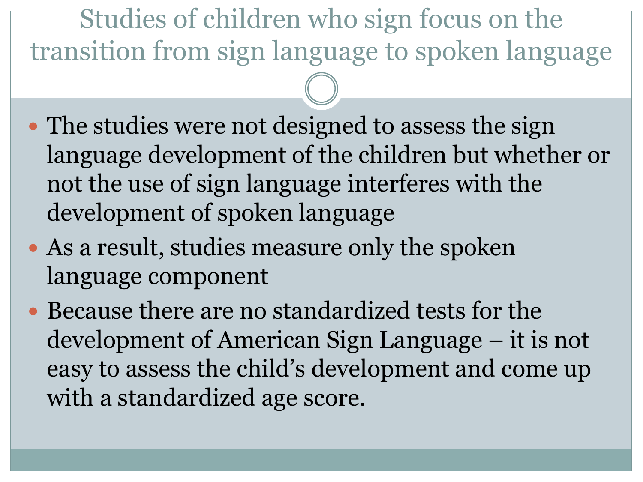Studies of children who sign focus on the transition from sign language to spoken language

- The studies were not designed to assess the sign language development of the children but whether or not the use of sign language interferes with the development of spoken language
- As a result, studies measure only the spoken language component
- Because there are no standardized tests for the development of American Sign Language – it is not easy to assess the child's development and come up with a standardized age score.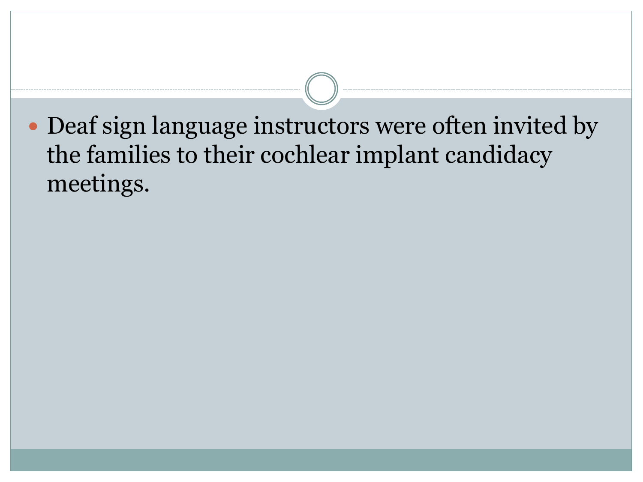Deaf sign language instructors were often invited by the families to their cochlear implant candidacy meetings.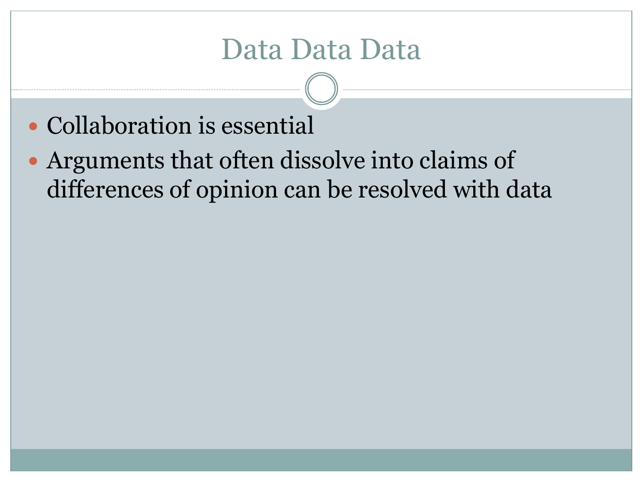## Data Data Data

- Collaboration is essential
- Arguments that often dissolve into claims of differences of opinion can be resolved with data